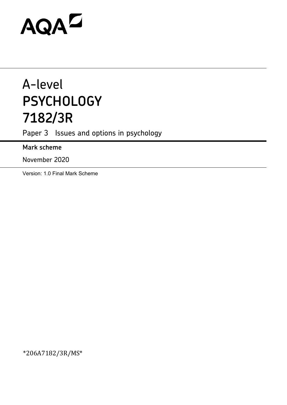# **AQAZ**

## A-level **PSYCHOLOGY 7182/3R**

Paper 3 Issues and options in psychology

**Mark scheme**

November 2020

Version: 1.0 Final Mark Scheme

\*206A7182/3R/MS\*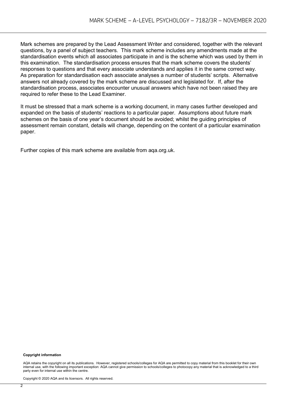Mark schemes are prepared by the Lead Assessment Writer and considered, together with the relevant questions, by a panel of subject teachers. This mark scheme includes any amendments made at the standardisation events which all associates participate in and is the scheme which was used by them in this examination. The standardisation process ensures that the mark scheme covers the students' responses to questions and that every associate understands and applies it in the same correct way. As preparation for standardisation each associate analyses a number of students' scripts. Alternative answers not already covered by the mark scheme are discussed and legislated for. If, after the standardisation process, associates encounter unusual answers which have not been raised they are required to refer these to the Lead Examiner.

It must be stressed that a mark scheme is a working document, in many cases further developed and expanded on the basis of students' reactions to a particular paper. Assumptions about future mark schemes on the basis of one year's document should be avoided; whilst the guiding principles of assessment remain constant, details will change, depending on the content of a particular examination paper.

Further copies of this mark scheme are available from aqa.org.uk.

#### **Copyright information**

AQA retains the copyright on all its publications. However, registered schools/colleges for AQA are permitted to copy material from this booklet for their own internal use, with the following important exception: AQA cannot give permission to schools/colleges to photocopy any material that is acknowledged to a third party even for internal use within the centre.

Copyright © 2020 AQA and its licensors. All rights reserved.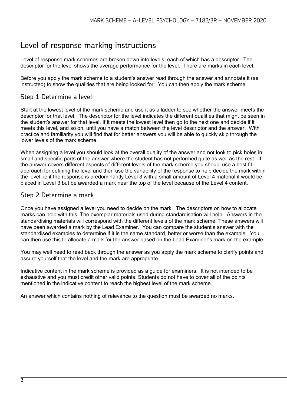### Level of response marking instructions

Level of response mark schemes are broken down into levels, each of which has a descriptor. The descriptor for the level shows the average performance for the level. There are marks in each level.

Before you apply the mark scheme to a student's answer read through the answer and annotate it (as instructed) to show the qualities that are being looked for. You can then apply the mark scheme.

#### Step 1 Determine a level

Start at the lowest level of the mark scheme and use it as a ladder to see whether the answer meets the descriptor for that level. The descriptor for the level indicates the different qualities that might be seen in the student's answer for that level. If it meets the lowest level then go to the next one and decide if it meets this level, and so on, until you have a match between the level descriptor and the answer. With practice and familiarity you will find that for better answers you will be able to quickly skip through the lower levels of the mark scheme.

When assigning a level you should look at the overall quality of the answer and not look to pick holes in small and specific parts of the answer where the student has not performed quite as well as the rest. If the answer covers different aspects of different levels of the mark scheme you should use a best fit approach for defining the level and then use the variability of the response to help decide the mark within the level, ie if the response is predominantly Level 3 with a small amount of Level 4 material it would be placed in Level 3 but be awarded a mark near the top of the level because of the Level 4 content.

#### Step 2 Determine a mark

Once you have assigned a level you need to decide on the mark. The descriptors on how to allocate marks can help with this. The exemplar materials used during standardisation will help. Answers in the standardising materials will correspond with the different levels of the mark scheme. These answers will have been awarded a mark by the Lead Examiner. You can compare the student's answer with the standardised examples to determine if it is the same standard, better or worse than the example. You can then use this to allocate a mark for the answer based on the Lead Examiner's mark on the example.

You may well need to read back through the answer as you apply the mark scheme to clarify points and assure yourself that the level and the mark are appropriate.

Indicative content in the mark scheme is provided as a guide for examiners. It is not intended to be exhaustive and you must credit other valid points. Students do not have to cover all of the points mentioned in the indicative content to reach the highest level of the mark scheme.

An answer which contains nothing of relevance to the question must be awarded no marks.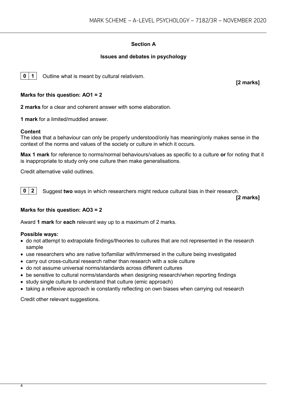#### **Section A**

#### **Issues and debates in psychology**

**0** | **1** | Outline what is meant by cultural relativism.

**[2 marks]**

#### **Marks for this question: AO1 = 2**

**2 marks** for a clear and coherent answer with some elaboration.

**1 mark** for a limited/muddled answer.

#### **Content**

The idea that a behaviour can only be properly understood/only has meaning/only makes sense in the context of the norms and values of the society or culture in which it occurs.

**Max 1 mark** for reference to norms/normal behaviours/values as specific to a culture **or** for noting that it is inappropriate to study only one culture then make generalisations.

Credit alternative valid outlines.

**0 2** Suggest two ways in which researchers might reduce cultural bias in their research.

**[2 marks]**

#### **Marks for this question: AO3 = 2**

Award **1 mark** for **each** relevant way up to a maximum of 2 marks.

#### **Possible ways:**

- do not attempt to extrapolate findings/theories to cultures that are not represented in the research sample
- use researchers who are native to/familiar with/immersed in the culture being investigated
- carry out cross-cultural research rather than research with a sole culture
- do not assume universal norms/standards across different cultures
- be sensitive to cultural norms/standards when designing research/when reporting findings
- study single culture to understand that culture (emic approach)
- taking a reflexive approach ie constantly reflecting on own biases when carrying out research

Credit other relevant suggestions.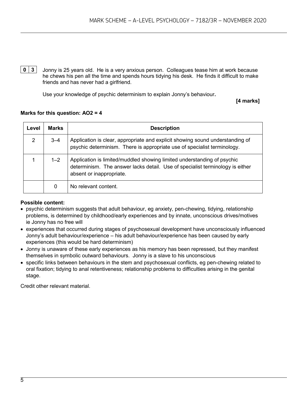**0 3** Jonny is 25 years old. He is a very anxious person. Colleagues tease him at work because he chews his pen all the time and spends hours tidying his desk. He finds it difficult to make friends and has never had a girlfriend.

Use your knowledge of psychic determinism to explain Jonny's behaviour**.**

**[4 marks]**

#### **Marks for this question: AO2 = 4**

| Level          | <b>Marks</b> | <b>Description</b>                                                                                                                                                                   |
|----------------|--------------|--------------------------------------------------------------------------------------------------------------------------------------------------------------------------------------|
| $\overline{2}$ | $3 - 4$      | Application is clear, appropriate and explicit showing sound understanding of<br>psychic determinism. There is appropriate use of specialist terminology.                            |
|                | $1 - 2$      | Application is limited/muddled showing limited understanding of psychic<br>determinism. The answer lacks detail. Use of specialist terminology is either<br>absent or inappropriate. |
|                | 0            | No relevant content.                                                                                                                                                                 |

#### **Possible content:**

- psychic determinism suggests that adult behaviour, eg anxiety, pen-chewing, tidying, relationship problems, is determined by childhood/early experiences and by innate, unconscious drives/motives ie Jonny has no free will
- experiences that occurred during stages of psychosexual development have unconsciously influenced Jonny's adult behaviour/experience – his adult behaviour/experience has been caused by early experiences (this would be hard determinism)
- Jonny is unaware of these early experiences as his memory has been repressed, but they manifest themselves in symbolic outward behaviours. Jonny is a slave to his unconscious
- specific links between behaviours in the stem and psychosexual conflicts, eg pen-chewing related to oral fixation; tidying to anal retentiveness; relationship problems to difficulties arising in the genital stage.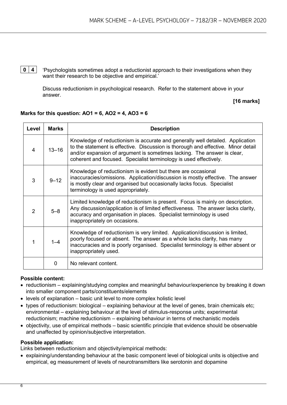**0 4** 'Psychologists sometimes adopt a reductionist approach to their investigations when they want their research to be objective and empirical.'

Discuss reductionism in psychological research. Refer to the statement above in your answer.

#### **[16 marks]**

| Level | <b>Marks</b> | <b>Description</b>                                                                                                                                                                                                                                                                                                  |
|-------|--------------|---------------------------------------------------------------------------------------------------------------------------------------------------------------------------------------------------------------------------------------------------------------------------------------------------------------------|
| 4     | $13 - 16$    | Knowledge of reductionism is accurate and generally well detailed. Application<br>to the statement is effective. Discussion is thorough and effective. Minor detail<br>and/or expansion of argument is sometimes lacking. The answer is clear,<br>coherent and focused. Specialist terminology is used effectively. |
| 3     | $9 - 12$     | Knowledge of reductionism is evident but there are occasional<br>inaccuracies/omissions. Application/discussion is mostly effective. The answer<br>is mostly clear and organised but occasionally lacks focus. Specialist<br>terminology is used appropriately.                                                     |
| 2     | $5 - 8$      | Limited knowledge of reductionism is present. Focus is mainly on description.<br>Any discussion/application is of limited effectiveness. The answer lacks clarity,<br>accuracy and organisation in places. Specialist terminology is used<br>inappropriately on occasions.                                          |
| 1     | $1 - 4$      | Knowledge of reductionism is very limited. Application/discussion is limited,<br>poorly focused or absent. The answer as a whole lacks clarity, has many<br>inaccuracies and is poorly organised. Specialist terminology is either absent or<br>inappropriately used.                                               |
|       | 0            | No relevant content.                                                                                                                                                                                                                                                                                                |

#### **Marks for this question: AO1 = 6, AO2 = 4, AO3 = 6**

#### **Possible content:**

- reductionism explaining/studying complex and meaningful behaviour/experience by breaking it down into smaller component parts/constituents/elements
- levels of explanation basic unit level to more complex holistic level
- types of reductionism: biological explaining behaviour at the level of genes, brain chemicals etc; environmental – explaining behaviour at the level of stimulus-response units; experimental reductionism; machine reductionism – explaining behaviour in terms of mechanistic models
- objectivity, use of empirical methods basic scientific principle that evidence should be observable and unaffected by opinion/subjective interpretation.

#### **Possible application:**

Links between reductionism and objectivity/empirical methods:

• explaining/understanding behaviour at the basic component level of biological units is objective and empirical, eg measurement of levels of neurotransmitters like serotonin and dopamine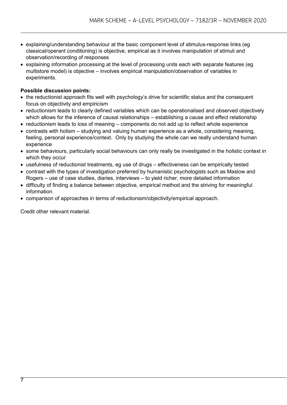- explaining/understanding behaviour at the basic component level of stimulus-response links (eg classical/operant conditioning) is objective, empirical as it involves manipulation of stimuli and observation/recording of responses
- explaining information processing at the level of processing units each with separate features (eg multistore model) is objective – involves empirical manipulation/observation of variables in experiments.

#### **Possible discussion points:**

- the reductionist approach fits well with psychology's drive for scientific status and the consequent focus on objectivity and empiricism
- reductionism leads to clearly defined variables which can be operationalised and observed objectively which allows for the inference of causal relationships – establishing a cause and effect relationship
- reductionism leads to loss of meaning components do not add up to reflect whole experience
- contrasts with holism studying and valuing human experience as a whole, considering meaning, feeling, personal experience/context. Only by studying the whole can we really understand human experience
- some behaviours, particularly social behaviours can only really be investigated in the holistic context in which they occur
- usefulness of reductionist treatments, eg use of drugs effectiveness can be empirically tested
- contrast with the types of investigation preferred by humanistic psychologists such as Maslow and Rogers – use of case studies, diaries, interviews – to yield richer, more detailed information
- difficulty of finding a balance between objective, empirical method and the striving for meaningful information
- comparison of approaches in terms of reductionism/objectivity/empirical approach.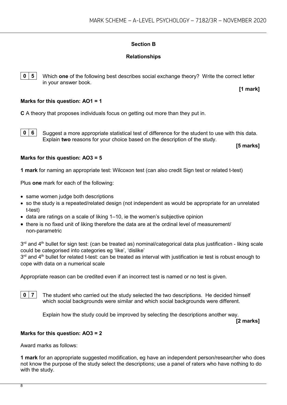#### **Section B**

#### **Relationships**

**0 5** Which **one** of the following best describes social exchange theory? Write the correct letter in your answer book.

**[1 mark]**

#### **Marks for this question: AO1 = 1**

**C** A theory that proposes individuals focus on getting out more than they put in.

**0 6** Suggest a more appropriate statistical test of difference for the student to use with this data. Explain **two** reasons for your choice based on the description of the study.

**[5 marks]**

#### **Marks for this question: AO3 = 5**

**1 mark** for naming an appropriate test: Wilcoxon test (can also credit Sign test or related t-test)

Plus **one** mark for each of the following:

- same women judge both descriptions
- so the study is a repeated/related design (not independent as would be appropriate for an unrelated t-test)
- data are ratings on a scale of liking 1–10, ie the women's subjective opinion
- there is no fixed unit of liking therefore the data are at the ordinal level of measurement/ non-parametric

 $3<sup>rd</sup>$  and  $4<sup>th</sup>$  bullet for sign test: (can be treated as) nominal/categorical data plus justification - liking scale could be categorised into categories eg 'like', 'dislike'

 $3<sup>rd</sup>$  and  $4<sup>th</sup>$  bullet for related t-test: can be treated as interval with justification ie test is robust enough to cope with data on a numerical scale

Appropriate reason can be credited even if an incorrect test is named or no test is given.

**0 7** The student who carried out the study selected the two descriptions. He decided himself which social backgrounds were similar and which social backgrounds were different.

Explain how the study could be improved by selecting the descriptions another way.

**[2 marks]**

#### **Marks for this question: AO3 = 2**

Award marks as follows:

**1 mark** for an appropriate suggested modification, eg have an independent person/researcher who does not know the purpose of the study select the descriptions; use a panel of raters who have nothing to do with the study.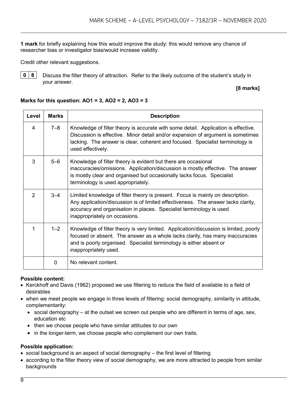**1 mark** for briefly explaining how this would improve the study: this would remove any chance of researcher bias or investigator bias/would increase validity.

Credit other relevant suggestions.



**0** | **8** | Discuss the filter theory of attraction. Refer to the likely outcome of the student's study in your answer.

#### **[8 marks]**

#### **Marks for this question: AO1 = 3, AO2 = 2, AO3 = 3**

| Level         | <b>Marks</b> | <b>Description</b>                                                                                                                                                                                                                                                          |
|---------------|--------------|-----------------------------------------------------------------------------------------------------------------------------------------------------------------------------------------------------------------------------------------------------------------------------|
| 4             | $7 - 8$      | Knowledge of filter theory is accurate with some detail. Application is effective.<br>Discussion is effective. Minor detail and/or expansion of argument is sometimes<br>lacking. The answer is clear, coherent and focused. Specialist terminology is<br>used effectively. |
| 3             | $5 - 6$      | Knowledge of filter theory is evident but there are occasional<br>inaccuracies/omissions. Application/discussion is mostly effective. The answer<br>is mostly clear and organised but occasionally lacks focus. Specialist<br>terminology is used appropriately.            |
| $\mathcal{P}$ | $3 - 4$      | Limited knowledge of filter theory is present. Focus is mainly on description.<br>Any application/discussion is of limited effectiveness. The answer lacks clarity,<br>accuracy and organisation in places. Specialist terminology is used<br>inappropriately on occasions. |
| 1             | $1 - 2$      | Knowledge of filter theory is very limited. Application/discussion is limited, poorly<br>focused or absent. The answer as a whole lacks clarity, has many inaccuracies<br>and is poorly organised. Specialist terminology is either absent or<br>inappropriately used.      |
|               | $\Omega$     | No relevant content.                                                                                                                                                                                                                                                        |

#### **Possible content:**

- Kerckhoff and Davis (1962) proposed we use filtering to reduce the field of available to a field of desirables
- when we meet people we engage in three levels of filtering: social demography, similarity in attitude, complementarity:
	- social demography at the outset we screen out people who are different in terms of age, sex, education etc
	- then we choose people who have similar attitudes to our own
	- in the longer-term, we choose people who complement our own traits.

#### **Possible application:**

- social background is an aspect of social demography the first level of filtering
- according to the filter theory view of social demography, we are more attracted to people from similar backgrounds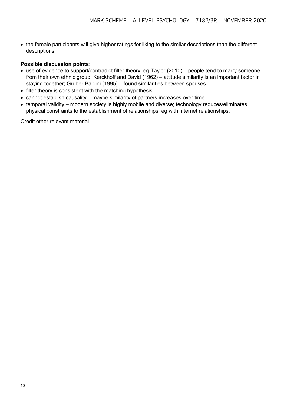• the female participants will give higher ratings for liking to the similar descriptions than the different descriptions.

#### **Possible discussion points:**

- use of evidence to support/contradict filter theory, eg Taylor (2010) people tend to marry someone from their own ethnic group; Kerckhoff and David (1962) – attitude similarity is an important factor in staying together; Gruber-Baldini (1995) – found similarities between spouses
- filter theory is consistent with the matching hypothesis
- cannot establish causality maybe similarity of partners increases over time
- temporal validity modern society is highly mobile and diverse; technology reduces/eliminates physical constraints to the establishment of relationships, eg with internet relationships.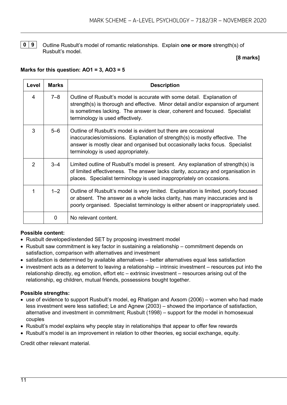**0 9** Outline Rusbult's model of romantic relationships. Explain **one or more** strength(s) of Rusbult's model.

#### **[8 marks]**

#### **Marks for this question: AO1 = 3, AO3 = 5**

| Level          | <b>Marks</b> | <b>Description</b>                                                                                                                                                                                                                                                             |
|----------------|--------------|--------------------------------------------------------------------------------------------------------------------------------------------------------------------------------------------------------------------------------------------------------------------------------|
| 4              | $7 - 8$      | Outline of Rusbult's model is accurate with some detail. Explanation of<br>strength(s) is thorough and effective. Minor detail and/or expansion of argument<br>is sometimes lacking. The answer is clear, coherent and focused. Specialist<br>terminology is used effectively. |
| 3              | $5 - 6$      | Outline of Rusbult's model is evident but there are occasional<br>inaccuracies/omissions. Explanation of strength(s) is mostly effective. The<br>answer is mostly clear and organised but occasionally lacks focus. Specialist<br>terminology is used appropriately.           |
| $\overline{2}$ | $3 - 4$      | Limited outline of Rusbult's model is present. Any explanation of strength(s) is<br>of limited effectiveness. The answer lacks clarity, accuracy and organisation in<br>places. Specialist terminology is used inappropriately on occasions.                                   |
| 1              | $1 - 2$      | Outline of Rusbult's model is very limited. Explanation is limited, poorly focused<br>or absent. The answer as a whole lacks clarity, has many inaccuracies and is<br>poorly organised. Specialist terminology is either absent or inappropriately used.                       |
|                | $\Omega$     | No relevant content.                                                                                                                                                                                                                                                           |

#### **Possible content:**

- Rusbult developed/extended SET by proposing investment model
- Rusbult saw commitment is key factor in sustaining a relationship commitment depends on satisfaction, comparison with alternatives and investment
- satisfaction is determined by available alternatives better alternatives equal less satisfaction
- investment acts as a deterrent to leaving a relationship intrinsic investment resources put into the relationship directly, eg emotion, effort etc – extrinsic investment – resources arising out of the relationship, eg children, mutual friends, possessions bought together.

#### **Possible strengths:**

- use of evidence to support Rusbult's model, eg Rhatigan and Axsom (2006) women who had made less investment were less satisfied; Le and Agnew (2003) – showed the importance of satisfaction, alternative and investment in commitment; Rusbult (1998) – support for the model in homosexual couples
- Rusbult's model explains why people stay in relationships that appear to offer few rewards
- Rusbult's model is an improvement in relation to other theories, eg social exchange, equity.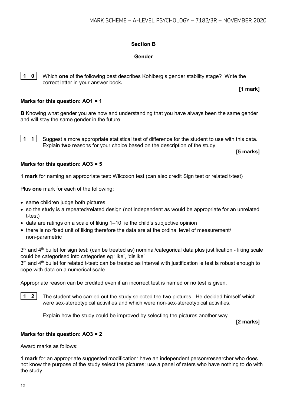#### **Section B**

#### **Gender**

**1 0** Which **one** of the following best describes Kohlberg's gender stability stage? Write the correct letter in your answer book**.**

**[1 mark]**

#### **Marks for this question: AO1 = 1**

**B** Knowing what gender you are now and understanding that you have always been the same gender and will stay the same gender in the future.

**1 1** Suggest a more appropriate statistical test of difference for the student to use with this data. Explain **two** reasons for your choice based on the description of the study.

**[5 marks]**

#### **Marks for this question: AO3 = 5**

**1 mark** for naming an appropriate test: Wilcoxon test (can also credit Sign test or related t-test)

Plus **one** mark for each of the following:

- same children judge both pictures
- so the study is a repeated/related design (not independent as would be appropriate for an unrelated t-test)
- data are ratings on a scale of liking 1–10, ie the child's subjective opinion
- there is no fixed unit of liking therefore the data are at the ordinal level of measurement/ non-parametric

 $3<sup>rd</sup>$  and  $4<sup>th</sup>$  bullet for sign test: (can be treated as) nominal/categorical data plus justification - liking scale could be categorised into categories eg 'like', 'dislike'

3<sup>rd</sup> and 4<sup>th</sup> bullet for related t-test: can be treated as interval with justification ie test is robust enough to cope with data on a numerical scale

Appropriate reason can be credited even if an incorrect test is named or no test is given.

**1 2** The student who carried out the study selected the two pictures. He decided himself which were sex-stereotypical activities and which were non-sex-stereotypical activities.

Explain how the study could be improved by selecting the pictures another way.

**[2 marks]**

#### **Marks for this question: AO3 = 2**

Award marks as follows:

**1 mark** for an appropriate suggested modification: have an independent person/researcher who does not know the purpose of the study select the pictures; use a panel of raters who have nothing to do with the study.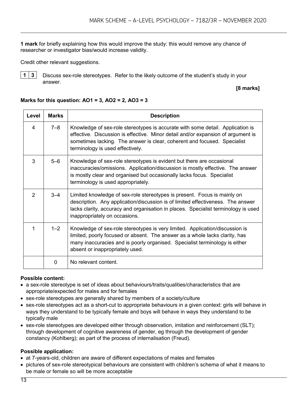**1 mark** for briefly explaining how this would improve the study: this would remove any chance of researcher or investigator bias/would increase validity.

Credit other relevant suggestions.



**1 3** Discuss sex-role stereotypes. Refer to the likely outcome of the student's study in your answer.

#### **[8 marks]**

#### **Level Marks Description** 4 7–8 Knowledge of sex-role stereotypes is accurate with some detail. Application is effective. Discussion is effective. Minor detail and/or expansion of argument is sometimes lacking. The answer is clear, coherent and focused. Specialist terminology is used effectively. 3 5–6 Knowledge of sex-role stereotypes is evident but there are occasional inaccuracies/omissions. Application/discussion is mostly effective. The answer is mostly clear and organised but occasionally lacks focus. Specialist terminology is used appropriately. 2 | 3–4 | Limited knowledge of sex-role stereotypes is present. Focus is mainly on description. Any application/discussion is of limited effectiveness. The answer lacks clarity, accuracy and organisation in places. Specialist terminology is used inappropriately on occasions. 1 1–2 Knowledge of sex-role stereotypes is very limited. Application/discussion is limited, poorly focused or absent. The answer as a whole lacks clarity, has many inaccuracies and is poorly organised. Specialist terminology is either absent or inappropriately used. 0 No relevant content.

#### **Marks for this question: AO1 = 3, AO2 = 2, AO3 = 3**

#### **Possible content:**

- a sex-role stereotype is set of ideas about behaviours/traits/qualities/characteristics that are appropriate/expected for males and for females
- sex-role stereotypes are generally shared by members of a society/culture
- sex-role stereotypes act as a short-cut to appropriate behaviours in a given context: girls will behave in ways they understand to be typically female and boys will behave in ways they understand to be typically male
- sex-role stereotypes are developed either through observation, imitation and reinforcement (SLT); through development of cognitive awareness of gender, eg through the development of gender constancy (Kohlberg); as part of the process of internalisation (Freud).

#### **Possible application:**

- at 7-years-old, children are aware of different expectations of males and females
- pictures of sex-role stereotypical behaviours are consistent with children's schema of what it means to be male or female so will be more acceptable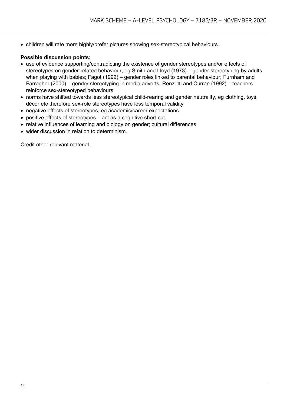• children will rate more highly/prefer pictures showing sex-stereotypical behaviours.

#### **Possible discussion points:**

- use of evidence supporting/contradicting the existence of gender stereotypes and/or effects of stereotypes on gender-related behaviour, eg Smith and Lloyd (1973) – gender stereotyping by adults when playing with babies; Fagot (1992) – gender roles linked to parental behaviour; Furnham and Farragher (2000) – gender stereotyping in media adverts; Renzetti and Curran (1992) – teachers reinforce sex-stereotyped behaviours
- norms have shifted towards less stereotypical child-rearing and gender neutrality, eg clothing, toys, décor etc therefore sex-role stereotypes have less temporal validity
- negative effects of stereotypes, eg academic/career expectations
- positive effects of stereotypes act as a cognitive short-cut
- relative influences of learning and biology on gender; cultural differences
- wider discussion in relation to determinism.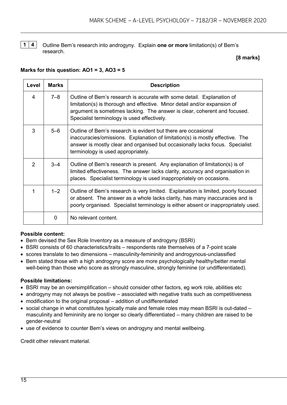

**1 4** Outline Bem's research into androgyny. Explain **one or more** limitation(s) of Bem's research.

#### **[8 marks]**

#### **Marks for this question: AO1 = 3, AO3 = 5**

| Level | <b>Marks</b> | <b>Description</b>                                                                                                                                                                                                                                                              |
|-------|--------------|---------------------------------------------------------------------------------------------------------------------------------------------------------------------------------------------------------------------------------------------------------------------------------|
| 4     | $7 - 8$      | Outline of Bem's research is accurate with some detail. Explanation of<br>limitation(s) is thorough and effective. Minor detail and/or expansion of<br>argument is sometimes lacking. The answer is clear, coherent and focused.<br>Specialist terminology is used effectively. |
| 3     | $5 - 6$      | Outline of Bem's research is evident but there are occasional<br>inaccuracies/omissions. Explanation of limitation(s) is mostly effective. The<br>answer is mostly clear and organised but occasionally lacks focus. Specialist<br>terminology is used appropriately.           |
| 2     | $3 - 4$      | Outline of Bem's research is present. Any explanation of limitation(s) is of<br>limited effectiveness. The answer lacks clarity, accuracy and organisation in<br>places. Specialist terminology is used inappropriately on occasions.                                           |
| 1     | $1 - 2$      | Outline of Bem's research is very limited. Explanation is limited, poorly focused<br>or absent. The answer as a whole lacks clarity, has many inaccuracies and is<br>poorly organised. Specialist terminology is either absent or inappropriately used.                         |
|       | $\Omega$     | No relevant content.                                                                                                                                                                                                                                                            |

#### **Possible content:**

- Bem devised the Sex Role Inventory as a measure of androgyny (BSRI)
- BSRI consists of 60 characteristics/traits respondents rate themselves of a 7-point scale
- scores translate to two dimensions masculinity-femininity and androgynous-unclassified
- Bem stated those with a high androgyny score are more psychologically healthy/better mental well-being than those who score as strongly masculine, strongly feminine (or undifferentiated).

#### **Possible limitations:**

- BSRI may be an oversimplification should consider other factors, eg work role, abilities etc
- androgyny may not always be positive associated with negative traits such as competitiveness
- modification to the original proposal addition of undifferentiated
- social change in what constitutes typically male and female roles may mean BSRI is out-dated masculinity and femininity are no longer so clearly differentiated – many children are raised to be gender-neutral
- use of evidence to counter Bem's views on androgyny and mental wellbeing.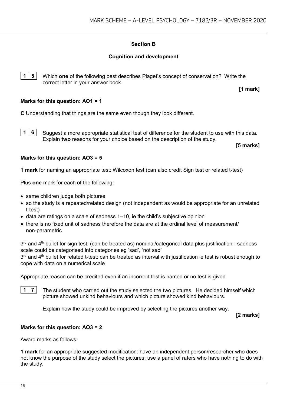#### **Section B**

#### **Cognition and development**

**1 5** Which **one** of the following best describes Piaget's concept of conservation? Write the correct letter in your answer book.

**[1 mark]**

#### **Marks for this question: AO1 = 1**

**C** Understanding that things are the same even though they look different.

**1 6** Suggest a more appropriate statistical test of difference for the student to use with this data. Explain **two** reasons for your choice based on the description of the study.

**[5 marks]**

#### **Marks for this question: AO3 = 5**

**1 mark** for naming an appropriate test: Wilcoxon test (can also credit Sign test or related t-test)

Plus **one** mark for each of the following:

- same children judge both pictures
- so the study is a repeated/related design (not independent as would be appropriate for an unrelated t-test)
- data are ratings on a scale of sadness 1–10, ie the child's subjective opinion
- there is no fixed unit of sadness therefore the data are at the ordinal level of measurement/ non-parametric

 $3<sup>rd</sup>$  and  $4<sup>th</sup>$  bullet for sign test: (can be treated as) nominal/categorical data plus justification - sadness scale could be categorised into categories eg 'sad', 'not sad'  $3<sup>rd</sup>$  and  $4<sup>th</sup>$  bullet for related t-test: can be treated as interval with justification ie test is robust enough to cope with data on a numerical scale

Appropriate reason can be credited even if an incorrect test is named or no test is given.

**1 7** The student who carried out the study selected the two pictures. He decided himself which picture showed unkind behaviours and which picture showed kind behaviours.

Explain how the study could be improved by selecting the pictures another way.

**[2 marks]**

#### **Marks for this question: AO3 = 2**

Award marks as follows:

**1 mark** for an appropriate suggested modification: have an independent person/researcher who does not know the purpose of the study select the pictures; use a panel of raters who have nothing to do with the study.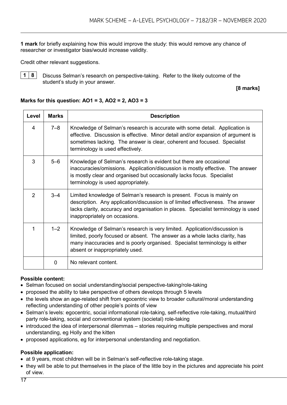**1 mark** for briefly explaining how this would improve the study: this would remove any chance of researcher or investigator bias/would increase validity.

Credit other relevant suggestions.



**1 8** Discuss Selman's research on perspective-taking. Refer to the likely outcome of the student's study in your answer.

**[8 marks]**

#### **Marks for this question: AO1 = 3, AO2 = 2, AO3 = 3**

| Level | <b>Marks</b> | <b>Description</b>                                                                                                                                                                                                                                                              |
|-------|--------------|---------------------------------------------------------------------------------------------------------------------------------------------------------------------------------------------------------------------------------------------------------------------------------|
| 4     | $7 - 8$      | Knowledge of Selman's research is accurate with some detail. Application is<br>effective. Discussion is effective. Minor detail and/or expansion of argument is<br>sometimes lacking. The answer is clear, coherent and focused. Specialist<br>terminology is used effectively. |
| 3     | $5 - 6$      | Knowledge of Selman's research is evident but there are occasional<br>inaccuracies/omissions. Application/discussion is mostly effective. The answer<br>is mostly clear and organised but occasionally lacks focus. Specialist<br>terminology is used appropriately.            |
| 2     | $3 - 4$      | Limited knowledge of Selman's research is present. Focus is mainly on<br>description. Any application/discussion is of limited effectiveness. The answer<br>lacks clarity, accuracy and organisation in places. Specialist terminology is used<br>inappropriately on occasions. |
| 1     | $1 - 2$      | Knowledge of Selman's research is very limited. Application/discussion is<br>limited, poorly focused or absent. The answer as a whole lacks clarity, has<br>many inaccuracies and is poorly organised. Specialist terminology is either<br>absent or inappropriately used.      |
|       | $\Omega$     | No relevant content.                                                                                                                                                                                                                                                            |

#### **Possible content:**

- Selman focused on social understanding/social perspective-taking/role-taking
- proposed the ability to take perspective of others develops through 5 levels
- the levels show an age-related shift from egocentric view to broader cultural/moral understanding reflecting understanding of other people's points of view
- Selman's levels: egocentric, social informational role-taking, self-reflective role-taking, mutual/third party role-taking, social and conventional system (societal) role-taking
- introduced the idea of interpersonal dilemmas stories requiring multiple perspectives and moral understanding, eg Holly and the kitten
- proposed applications, eg for interpersonal understanding and negotiation.

#### **Possible application:**

- at 9 years, most children will be in Selman's self-reflective role-taking stage.
- they will be able to put themselves in the place of the little boy in the pictures and appreciate his point of view.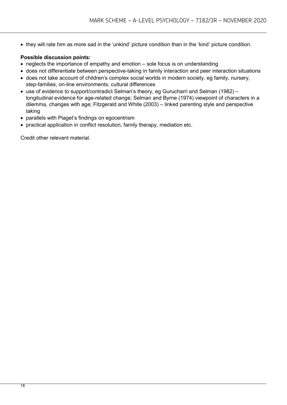• they will rate him as more sad in the 'unkind' picture condition than in the 'kind' picture condition.

#### **Possible discussion points:**

- neglects the importance of empathy and emotion sole focus is on understanding
- does not differentiate between perspective-taking in family interaction and peer interaction situations
- does not take account of children's complex social worlds in modern society, eg family, nursery, step-families, on-line environments, cultural differences
- use of evidence to support/contradict Selman's theory, eg Gurucharri and Selman (1982) longitudinal evidence for age-related change; Selman and Byrne (1974) viewpoint of characters in a dilemma, changes with age; Fitzgerald and White (2003) – linked parenting style and perspective taking
- parallels with Piaget's findings on egocentrism
- practical application in conflict resolution, family therapy, mediation etc.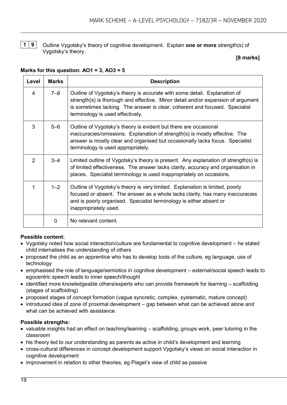**1 9** Outline Vygotsky's theory of cognitive development. Explain **one or more** strength(s) of Vygotsky's theory.

#### **[8 marks]**

#### **Level Marks Description** 4 7–8 Outline of Vygotsky's theory is accurate with some detail. Explanation of strength(s) is thorough and effective. Minor detail and/or expansion of argument is sometimes lacking. The answer is clear, coherent and focused. Specialist terminology is used effectively. 3 5–6 Outline of Vygotsky's theory is evident but there are occasional inaccuracies/omissions. Explanation of strength(s) is mostly effective. The answer is mostly clear and organised but occasionally lacks focus. Specialist terminology is used appropriately. 2 | 3–4 | Limited outline of Vygotsky's theory is present. Any explanation of strength(s) is of limited effectiveness. The answer lacks clarity, accuracy and organisation in places. Specialist terminology is used inappropriately on occasions. 1 1–2 Outline of Vygotsky's theory is very limited. Explanation is limited, poorly focused or absent. The answer as a whole lacks clarity, has many inaccuracies and is poorly organised. Specialist terminology is either absent or inappropriately used. 0 No relevant content.

#### **Marks for this question: AO1 = 3, AO3 = 5**

#### **Possible content:**

- Vygotsky noted how social interaction/culture are fundamental to cognitive development he stated child internalises the understanding of others
- proposed the child as an apprentice who has to develop tools of the culture, eg language, use of technology
- emphasised the role of language/semiotics in cognitive development external/social speech leads to egocentric speech leads to inner speech/thought
- identified more knowledgeable others/experts who can provide framework for learning scaffolding (stages of scaffolding)
- proposed stages of concept formation (vague syncretic, complex, systematic, mature concept)
- introduced idea of zone of proximal development gap between what can be achieved alone and what can be achieved with assistance

#### **Possible strengths:**

- valuable insights had an effect on teaching/learning scaffolding, groups work, peer tutoring in the classroom
- his theory led to our understanding as parents as active in child's development and learning
- cross-cultural differences in concept development support Vygotsky's views on social interaction in cognitive development
- improvement in relation to other theories, eg Piaget's view of child as passive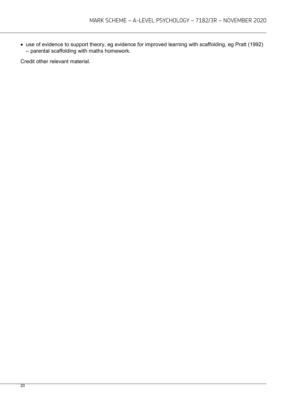• use of evidence to support theory, eg evidence for improved learning with scaffolding, eg Pratt (1992) – parental scaffolding with maths homework.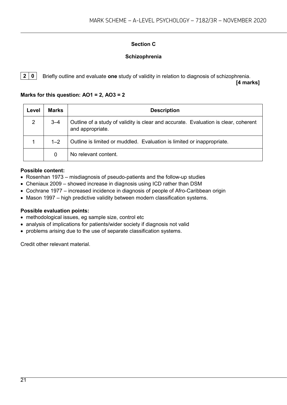#### **Section C**

#### **Schizophrenia**

**2 0** Briefly outline and evaluate **one** study of validity in relation to diagnosis of schizophrenia. **[4 marks]**

#### **Marks for this question: AO1 = 2, AO3 = 2**

| Level          | <b>Marks</b> | <b>Description</b>                                                                                      |
|----------------|--------------|---------------------------------------------------------------------------------------------------------|
| $\overline{2}$ | $3 - 4$      | Outline of a study of validity is clear and accurate. Evaluation is clear, coherent<br>and appropriate. |
|                | $1 - 2$      | Outline is limited or muddled. Evaluation is limited or inappropriate.                                  |
|                | 0            | No relevant content.                                                                                    |

#### **Possible content:**

- Rosenhan 1973 misdiagnosis of pseudo-patients and the follow-up studies
- Cheniaux 2009 showed increase in diagnosis using ICD rather than DSM
- Cochrane 1977 increased incidence in diagnosis of people of Afro-Caribbean origin
- Mason 1997 high predictive validity between modern classification systems.

#### **Possible evaluation points:**

- methodological issues, eg sample size, control etc
- analysis of implications for patients/wider society if diagnosis not valid
- problems arising due to the use of separate classification systems.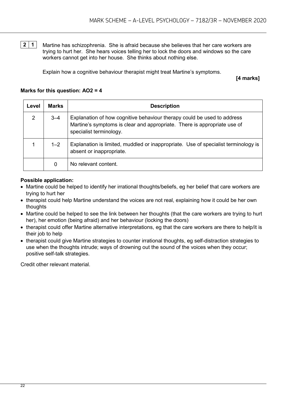**2 1** Martine has schizophrenia. She is afraid because she believes that her care workers are trying to hurt her. She hears voices telling her to lock the doors and windows so the care workers cannot get into her house. She thinks about nothing else.

Explain how a cognitive behaviour therapist might treat Martine's symptoms.

**[4 marks]**

#### **Marks for this question: AO2 = 4**

| Level | <b>Marks</b> | <b>Description</b>                                                                                                                                                             |
|-------|--------------|--------------------------------------------------------------------------------------------------------------------------------------------------------------------------------|
| 2     | $3 - 4$      | Explanation of how cognitive behaviour therapy could be used to address<br>Martine's symptoms is clear and appropriate. There is appropriate use of<br>specialist terminology. |
|       | $1 - 2$      | Explanation is limited, muddled or inappropriate. Use of specialist terminology is<br>absent or inappropriate.                                                                 |
|       | 0            | No relevant content.                                                                                                                                                           |

#### **Possible application:**

- Martine could be helped to identify her irrational thoughts/beliefs, eg her belief that care workers are trying to hurt her
- therapist could help Martine understand the voices are not real, explaining how it could be her own thoughts
- Martine could be helped to see the link between her thoughts (that the care workers are trying to hurt her), her emotion (being afraid) and her behaviour (locking the doors)
- therapist could offer Martine alternative interpretations, eg that the care workers are there to help/it is their job to help
- therapist could give Martine strategies to counter irrational thoughts, eg self-distraction strategies to use when the thoughts intrude; ways of drowning out the sound of the voices when they occur; positive self-talk strategies.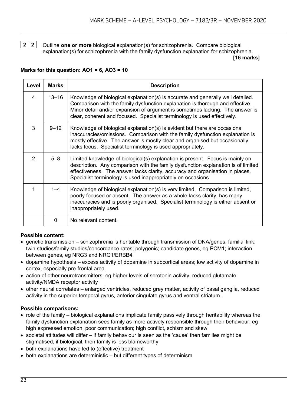**2 2** Outline **one or more** biological explanation(s) for schizophrenia. Compare biological explanation(s) for schizophrenia with the family dysfunction explanation for schizophrenia.

**[16 marks]**

#### **Marks for this question: AO1 = 6, AO3 = 10**

| Level | <b>Marks</b> | <b>Description</b>                                                                                                                                                                                                                                                                                                            |
|-------|--------------|-------------------------------------------------------------------------------------------------------------------------------------------------------------------------------------------------------------------------------------------------------------------------------------------------------------------------------|
| 4     | $13 - 16$    | Knowledge of biological explanation(s) is accurate and generally well detailed.<br>Comparison with the family dysfunction explanation is thorough and effective.<br>Minor detail and/or expansion of argument is sometimes lacking. The answer is<br>clear, coherent and focused. Specialist terminology is used effectively. |
| 3     | $9 - 12$     | Knowledge of biological explanation(s) is evident but there are occasional<br>inaccuracies/omissions. Comparison with the family dysfunction explanation is<br>mostly effective. The answer is mostly clear and organised but occasionally<br>lacks focus. Specialist terminology is used appropriately.                      |
| 2     | $5 - 8$      | Limited knowledge of biological(s) explanation is present. Focus is mainly on<br>description. Any comparison with the family dysfunction explanation is of limited<br>effectiveness. The answer lacks clarity, accuracy and organisation in places.<br>Specialist terminology is used inappropriately on occasions.           |
| 1     | $1 - 4$      | Knowledge of biological explanation(s) is very limited. Comparison is limited,<br>poorly focused or absent. The answer as a whole lacks clarity, has many<br>inaccuracies and is poorly organised. Specialist terminology is either absent or<br>inappropriately used.                                                        |
|       | $\Omega$     | No relevant content.                                                                                                                                                                                                                                                                                                          |

#### **Possible content:**

- genetic transmission schizophrenia is heritable through transmission of DNA/genes; familial link; twin studies/family studies/concordance rates; polygenic; candidate genes, eg PCM1; interaction between genes, eg NRG3 and NRG1/ERBB4
- dopamine hypothesis excess activity of dopamine in subcortical areas; low activity of dopamine in cortex, especially pre-frontal area
- action of other neurotransmitters, eg higher levels of serotonin activity, reduced glutamate activity/NMDA receptor activity
- other neural correlates enlarged ventricles, reduced grey matter, activity of basal ganglia, reduced activity in the superior temporal gyrus, anterior cingulate gyrus and ventral striatum.

#### **Possible comparisons:**

- role of the family biological explanations implicate family passively through heritability whereas the family dysfunction explanation sees family as more actively responsible through their behaviour, eg high expressed emotion, poor communication; high conflict, schism and skew
- societal attitudes will differ if family behaviour is seen as the 'cause' then families might be stigmatised, if biological, then family is less blameworthy
- both explanations have led to (effective) treatment
- both explanations are deterministic but different types of determinism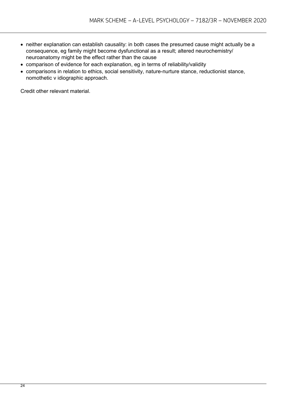- neither explanation can establish causality: in both cases the presumed cause might actually be a consequence, eg family might become dysfunctional as a result; altered neurochemistry/ neuroanatomy might be the effect rather than the cause
- comparison of evidence for each explanation, eg in terms of reliability/validity
- comparisons in relation to ethics, social sensitivity, nature-nurture stance, reductionist stance, nomothetic v idiographic approach.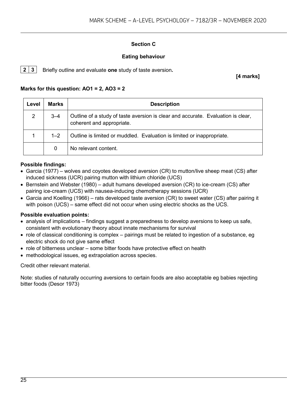#### **Section C**

#### **Eating behaviour**

**2 3** Briefly outline and evaluate **one** study of taste aversion.

**[4 marks]**

#### **Marks for this question: AO1 = 2, AO3 = 2**

| Level          | <b>Marks</b> | <b>Description</b>                                                                                            |
|----------------|--------------|---------------------------------------------------------------------------------------------------------------|
| $\overline{2}$ | $3 - 4$      | Outline of a study of taste aversion is clear and accurate. Evaluation is clear,<br>coherent and appropriate. |
|                | $1 - 2$      | Outline is limited or muddled. Evaluation is limited or inappropriate.                                        |
|                | 0            | No relevant content.                                                                                          |

#### **Possible findings:**

- Garcia (1977) wolves and coyotes developed aversion (CR) to mutton/live sheep meat (CS) after induced sickness (UCR) pairing mutton with lithium chloride (UCS)
- Bernstein and Webster (1980) adult humans developed aversion (CR) to ice-cream (CS) after pairing ice-cream (UCS) with nausea-inducing chemotherapy sessions (UCR)
- Garcia and Koelling (1966) rats developed taste aversion (CR) to sweet water (CS) after pairing it with poison (UCS) – same effect did not occur when using electric shocks as the UCS.

#### **Possible evaluation points:**

- analysis of implications findings suggest a preparedness to develop aversions to keep us safe, consistent with evolutionary theory about innate mechanisms for survival
- role of classical conditioning is complex pairings must be related to ingestion of a substance, eg electric shock do not give same effect
- role of bitterness unclear some bitter foods have protective effect on health
- methodological issues, eg extrapolation across species.

Credit other relevant material.

Note: studies of naturally occurring aversions to certain foods are also acceptable eg babies rejecting bitter foods (Desor 1973)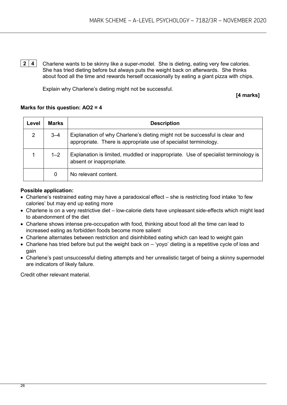**2 4** Charlene wants to be skinny like a super-model. She is dieting, eating very few calories. She has tried dieting before but always puts the weight back on afterwards. She thinks about food all the time and rewards herself occasionally by eating a giant pizza with chips.

Explain why Charlene's dieting might not be successful.

**[4 marks]**

#### **Marks for this question: AO2 = 4**

| Level          | <b>Marks</b> | <b>Description</b>                                                                                                                             |
|----------------|--------------|------------------------------------------------------------------------------------------------------------------------------------------------|
| $\overline{2}$ | $3 - 4$      | Explanation of why Charlene's dieting might not be successful is clear and<br>appropriate. There is appropriate use of specialist terminology. |
|                | $1 - 2$      | Explanation is limited, muddled or inappropriate. Use of specialist terminology is<br>absent or inappropriate.                                 |
|                | 0            | No relevant content.                                                                                                                           |

#### **Possible application:**

- Charlene's restrained eating may have a paradoxical effect she is restricting food intake 'to few calories' but may end up eating more
- Charlene is on a very restrictive diet low-calorie diets have unpleasant side-effects which might lead to abandonment of the diet
- Charlene shows intense pre-occupation with food, thinking about food all the time can lead to increased eating as forbidden foods become more salient
- Charlene alternates between restriction and disinhibited eating which can lead to weight gain
- Charlene has tried before but put the weight back on 'yoyo' dieting is a repetitive cycle of loss and gain
- Charlene's past unsuccessful dieting attempts and her unrealistic target of being a skinny supermodel are indicators of likely failure.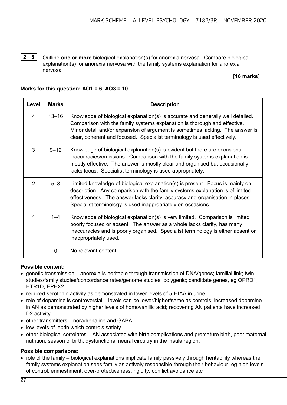**2 5** Outline **one or more** biological explanation(s) for anorexia nervosa. Compare biological explanation(s) for anorexia nervosa with the family systems explanation for anorexia nervosa.

#### **[16 marks]**

#### **Marks for this question: AO1 = 6, AO3 = 10**

| Level          | <b>Marks</b> | <b>Description</b>                                                                                                                                                                                                                                                                                                        |
|----------------|--------------|---------------------------------------------------------------------------------------------------------------------------------------------------------------------------------------------------------------------------------------------------------------------------------------------------------------------------|
| $\overline{4}$ | $13 - 16$    | Knowledge of biological explanation(s) is accurate and generally well detailed.<br>Comparison with the family systems explanation is thorough and effective.<br>Minor detail and/or expansion of argument is sometimes lacking. The answer is<br>clear, coherent and focused. Specialist terminology is used effectively. |
| 3              | $9 - 12$     | Knowledge of biological explanation(s) is evident but there are occasional<br>inaccuracies/omissions. Comparison with the family systems explanation is<br>mostly effective. The answer is mostly clear and organised but occasionally<br>lacks focus. Specialist terminology is used appropriately.                      |
| $\overline{2}$ | $5 - 8$      | Limited knowledge of biological explanation(s) is present. Focus is mainly on<br>description. Any comparison with the family systems explanation is of limited<br>effectiveness. The answer lacks clarity, accuracy and organisation in places.<br>Specialist terminology is used inappropriately on occasions.           |
| 1              | $1 - 4$      | Knowledge of biological explanation(s) is very limited. Comparison is limited,<br>poorly focused or absent. The answer as a whole lacks clarity, has many<br>inaccuracies and is poorly organised. Specialist terminology is either absent or<br>inappropriately used.                                                    |
|                | $\mathbf 0$  | No relevant content.                                                                                                                                                                                                                                                                                                      |

#### **Possible content:**

- genetic transmission anorexia is heritable through transmission of DNA/genes; familial link; twin studies/family studies/concordance rates/genome studies; polygenic; candidate genes, eg OPRD1, HTR1D, EPHX2
- reduced serotonin activity as demonstrated in lower levels of 5-HIAA in urine
- role of dopamine is controversial levels can be lower/higher/same as controls: increased dopamine in AN as demonstrated by higher levels of homovanillic acid; recovering AN patients have increased D2 activity
- other transmitters noradrenaline and GABA
- low levels of leptin which controls satiety
- other biological correlates AN associated with birth complications and premature birth, poor maternal nutrition, season of birth, dysfunctional neural circuitry in the insula region.

#### **Possible comparisons:**

• role of the family – biological explanations implicate family passively through heritability whereas the family systems explanation sees family as actively responsible through their behaviour, eg high levels of control, enmeshment, over-protectiveness, rigidity, conflict avoidance etc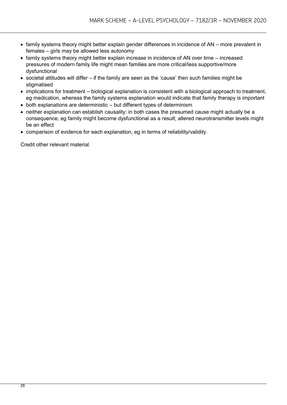- family systems theory might better explain gender differences in incidence of AN more prevalent in females – girls may be allowed less autonomy
- family systems theory might better explain increase in incidence of AN over time increased pressures of modern family life might mean families are more critical/less supportive/more dysfunctional
- societal attitudes will differ if the family are seen as the 'cause' then such families might be stigmatised
- implications for treatment biological explanation is consistent with a biological approach to treatment, eg medication, whereas the family systems explanation would indicate that family therapy is important
- both explanations are deterministic but different types of determinism
- neither explanation can establish causality: in both cases the presumed cause might actually be a consequence, eg family might become dysfunctional as a result; altered neurotransmitter levels might be an effect
- comparison of evidence for each explanation, eg in terms of reliability/validity.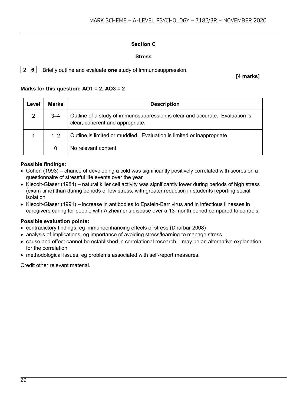#### **Section C**

#### **Stress**

**2 6** Briefly outline and evaluate **one** study of immunosuppression.

**[4 marks]**

#### **Marks for this question: AO1 = 2, AO3 = 2**

| Level | <b>Marks</b> | <b>Description</b>                                                                                               |
|-------|--------------|------------------------------------------------------------------------------------------------------------------|
| 2     | $3 - 4$      | Outline of a study of immunosuppression is clear and accurate. Evaluation is<br>clear, coherent and appropriate. |
|       | $1 - 2$      | Outline is limited or muddled. Evaluation is limited or inappropriate.                                           |
|       | 0            | No relevant content.                                                                                             |

#### **Possible findings:**

- Cohen (1993) chance of developing a cold was significantly positively correlated with scores on a questionnaire of stressful life events over the year
- Kiecolt-Glaser (1984) natural killer cell activity was significantly lower during periods of high stress (exam time) than during periods of low stress, with greater reduction in students reporting social isolation
- Kiecolt-Glaser (1991) increase in antibodies to Epstein-Barr virus and in infectious illnesses in caregivers caring for people with Alzheimer's disease over a 13-month period compared to controls.

#### **Possible evaluation points:**

- contradictory findings, eg immunoenhancing effects of stress (Dharbar 2008)
- analysis of implications, eg importance of avoiding stress/learning to manage stress
- cause and effect cannot be established in correlational research may be an alternative explanation for the correlation
- methodological issues, eg problems associated with self-report measures.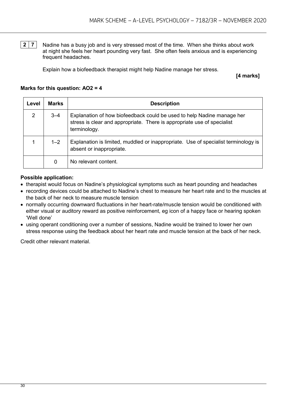**2 7** Nadine has a busy job and is very stressed most of the time. When she thinks about work at night she feels her heart pounding very fast. She often feels anxious and is experiencing frequent headaches.

Explain how a biofeedback therapist might help Nadine manage her stress.

**[4 marks]**

#### **Marks for this question: AO2 = 4**

| Level          | <b>Marks</b> | <b>Description</b>                                                                                                                                                |
|----------------|--------------|-------------------------------------------------------------------------------------------------------------------------------------------------------------------|
| $\overline{2}$ | $3 - 4$      | Explanation of how biofeedback could be used to help Nadine manage her<br>stress is clear and appropriate. There is appropriate use of specialist<br>terminology. |
|                | $1 - 2$      | Explanation is limited, muddled or inappropriate. Use of specialist terminology is<br>absent or inappropriate.                                                    |
|                | 0            | No relevant content.                                                                                                                                              |

#### **Possible application:**

- therapist would focus on Nadine's physiological symptoms such as heart pounding and headaches
- recording devices could be attached to Nadine's chest to measure her heart rate and to the muscles at the back of her neck to measure muscle tension
- normally occurring downward fluctuations in her heart-rate/muscle tension would be conditioned with either visual or auditory reward as positive reinforcement, eg icon of a happy face or hearing spoken 'Well done'
- using operant conditioning over a number of sessions, Nadine would be trained to lower her own stress response using the feedback about her heart rate and muscle tension at the back of her neck.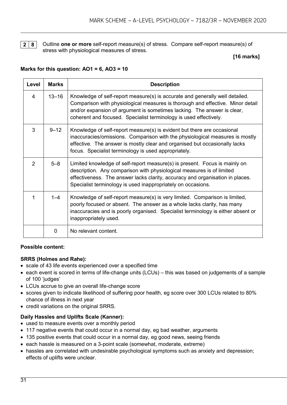

**2 8** Outline **one or more** self-report measure(s) of stress. Compare self-report measure(s) of stress with physiological measures of stress.

#### **[16 marks]**

#### **Marks for this question: AO1 = 6, AO3 = 10**

| Level         | <b>Marks</b> | <b>Description</b>                                                                                                                                                                                                                                                                                             |
|---------------|--------------|----------------------------------------------------------------------------------------------------------------------------------------------------------------------------------------------------------------------------------------------------------------------------------------------------------------|
| 4             | $13 - 16$    | Knowledge of self-report measure(s) is accurate and generally well detailed.<br>Comparison with physiological measures is thorough and effective. Minor detail<br>and/or expansion of argument is sometimes lacking. The answer is clear,<br>coherent and focused. Specialist terminology is used effectively. |
| 3             | $9 - 12$     | Knowledge of self-report measure(s) is evident but there are occasional<br>inaccuracies/omissions. Comparison with the physiological measures is mostly<br>effective. The answer is mostly clear and organised but occasionally lacks<br>focus. Specialist terminology is used appropriately.                  |
| $\mathcal{P}$ | $5 - 8$      | Limited knowledge of self-report measure(s) is present. Focus is mainly on<br>description. Any comparison with physiological measures is of limited<br>effectiveness. The answer lacks clarity, accuracy and organisation in places.<br>Specialist terminology is used inappropriately on occasions.           |
| 1             | $1 - 4$      | Knowledge of self-report measure(s) is very limited. Comparison is limited,<br>poorly focused or absent. The answer as a whole lacks clarity, has many<br>inaccuracies and is poorly organised. Specialist terminology is either absent or<br>inappropriately used.                                            |
|               | $\mathbf{0}$ | No relevant content.                                                                                                                                                                                                                                                                                           |

#### **Possible content:**

#### **SRRS (Holmes and Rahe):**

- scale of 43 life events experienced over a specified time
- each event is scored in terms of life-change units (LCUs) this was based on judgements of a sample of 100 'judges'
- LCUs accrue to give an overall life-change score
- scores given to indicate likelihood of suffering poor health, eg score over 300 LCUs related to 80% chance of illness in next year
- credit variations on the original SRRS.

#### **Daily Hassles and Uplifts Scale (Kanner):**

- used to measure events over a monthly period
- 117 negative events that could occur in a normal day, eg bad weather, arguments
- 135 positive events that could occur in a normal day, eg good news, seeing friends
- each hassle is measured on a 3-point scale (somewhat, moderate, extreme)
- hassles are correlated with undesirable psychological symptoms such as anxiety and depression; effects of uplifts were unclear.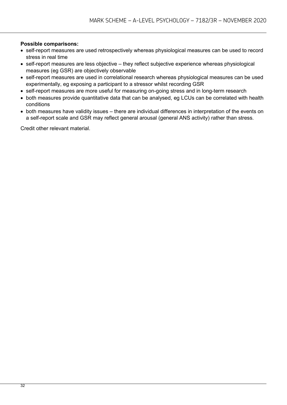#### **Possible comparisons:**

- self-report measures are used retrospectively whereas physiological measures can be used to record stress in real time
- self-report measures are less objective they reflect subjective experience whereas physiological measures (eg GSR) are objectively observable
- self-report measures are used in correlational research whereas physiological measures can be used experimentally, eg exposing a participant to a stressor whilst recording GSR
- self-report measures are more useful for measuring on-going stress and in long-term research
- both measures provide quantitative data that can be analysed, eg LCUs can be correlated with health conditions
- both measures have validity issues there are individual differences in interpretation of the events on a self-report scale and GSR may reflect general arousal (general ANS activity) rather than stress.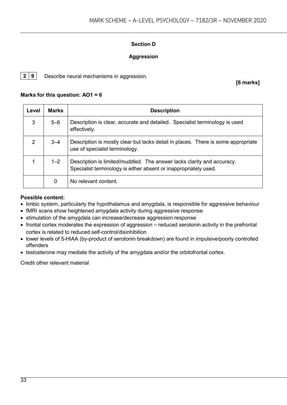#### **Section D**

#### **Aggression**

**2 9** Describe neural mechanisms in aggression.

**[6 marks]**

#### **Marks for this question: AO1 = 6**

| Level          | <b>Marks</b> | <b>Description</b>                                                                                                                         |
|----------------|--------------|--------------------------------------------------------------------------------------------------------------------------------------------|
| 3              | $5 - 6$      | Description is clear, accurate and detailed. Specialist terminology is used<br>effectively.                                                |
| $\overline{2}$ | $3 - 4$      | Description is mostly clear but lacks detail in places. There is some appropriate<br>use of specialist terminology.                        |
|                | $1 - 2$      | Description is limited/muddled. The answer lacks clarity and accuracy.<br>Specialist terminology is either absent or inappropriately used. |
|                | 0            | No relevant content.                                                                                                                       |

#### **Possible content:**

- limbic system, particularly the hypothalamus and amygdala, is responsible for aggressive behaviour
- fMRI scans show heightened amygdala activity during aggressive response
- stimulation of the amygdala can increase/decrease aggression response
- frontal cortex moderates the expression of aggression reduced serotonin activity in the prefrontal cortex is related to reduced self-control/disinhibition
- lower levels of 5-HIAA (by-product of serotonin breakdown) are found in impulsive/poorly controlled offenders
- testosterone may mediate the activity of the amygdala and/or the orbitofrontal cortex.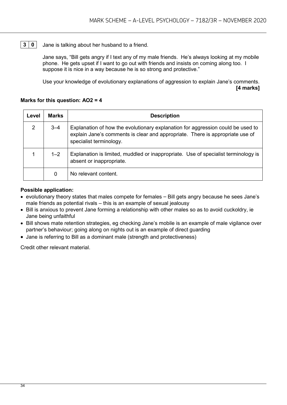#### **3 0** Jane is talking about her husband to a friend.

Jane says, "Bill gets angry if I text any of my male friends. He's always looking at my mobile phone. He gets upset if I want to go out with friends and insists on coming along too. I suppose it is nice in a way because he is so strong and protective."

Use your knowledge of evolutionary explanations of aggression to explain Jane's comments. **[4 marks]**

#### **Marks for this question: AO2 = 4**

| Level          | <b>Marks</b> | <b>Description</b>                                                                                                                                                                          |
|----------------|--------------|---------------------------------------------------------------------------------------------------------------------------------------------------------------------------------------------|
| $\overline{2}$ | $3 - 4$      | Explanation of how the evolutionary explanation for aggression could be used to<br>explain Jane's comments is clear and appropriate. There is appropriate use of<br>specialist terminology. |
|                | $1 - 2$      | Explanation is limited, muddled or inappropriate. Use of specialist terminology is<br>absent or inappropriate.                                                                              |
|                | 0            | No relevant content.                                                                                                                                                                        |

#### **Possible application:**

- evolutionary theory states that males compete for females Bill gets angry because he sees Jane's male friends as potential rivals – this is an example of sexual jealousy
- Bill is anxious to prevent Jane forming a relationship with other males so as to avoid cuckoldry, ie Jane being unfaithful
- Bill shows mate retention strategies, eg checking Jane's mobile is an example of male vigilance over partner's behaviour; going along on nights out is an example of direct guarding
- Jane is referring to Bill as a dominant male (strength and protectiveness)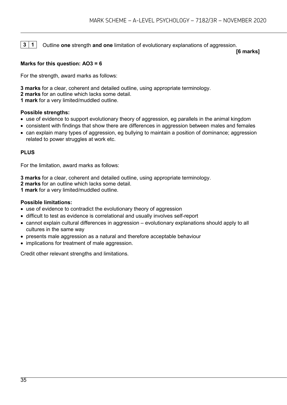**3 1** Outline **one** strength **and one** limitation of evolutionary explanations of aggression.

**[6 marks]**

#### **Marks for this question: AO3 = 6**

For the strength, award marks as follows:

**3 marks** for a clear, coherent and detailed outline, using appropriate terminology.

**2 marks** for an outline which lacks some detail.

**1 mark** for a very limited/muddled outline.

#### **Possible strengths:**

- use of evidence to support evolutionary theory of aggression, eg parallels in the animal kingdom
- consistent with findings that show there are differences in aggression between males and females
- can explain many types of aggression, eg bullying to maintain a position of dominance; aggression related to power struggles at work etc.

#### **PLUS**

For the limitation, award marks as follows:

**3 marks** for a clear, coherent and detailed outline, using appropriate terminology.

**2 marks** for an outline which lacks some detail.

**1 mark** for a very limited/muddled outline.

#### **Possible limitations:**

- use of evidence to contradict the evolutionary theory of aggression
- difficult to test as evidence is correlational and usually involves self-report
- cannot explain cultural differences in aggression evolutionary explanations should apply to all cultures in the same way
- presents male aggression as a natural and therefore acceptable behaviour
- implications for treatment of male aggression.

Credit other relevant strengths and limitations.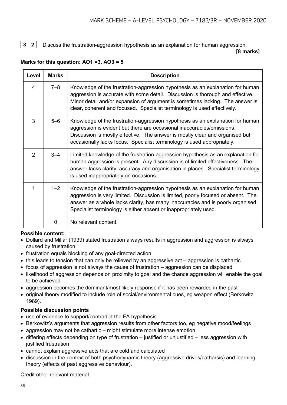#### **3 2** Discuss the frustration-aggression hypothesis as an explanation for human aggression.

#### **[8 marks]**

| Level         | <b>Marks</b> | <b>Description</b>                                                                                                                                                                                                                                                                                                            |
|---------------|--------------|-------------------------------------------------------------------------------------------------------------------------------------------------------------------------------------------------------------------------------------------------------------------------------------------------------------------------------|
| 4             | $7 - 8$      | Knowledge of the frustration-aggression hypothesis as an explanation for human<br>aggression is accurate with some detail. Discussion is thorough and effective.<br>Minor detail and/or expansion of argument is sometimes lacking. The answer is<br>clear, coherent and focused. Specialist terminology is used effectively. |
| 3             | $5-6$        | Knowledge of the frustration-aggression hypothesis as an explanation for human<br>aggression is evident but there are occasional inaccuracies/omissions.<br>Discussion is mostly effective. The answer is mostly clear and organised but<br>occasionally lacks focus. Specialist terminology is used appropriately.           |
| $\mathcal{P}$ | $3 - 4$      | Limited knowledge of the frustration-aggression hypothesis as an explanation for<br>human aggression is present. Any discussion is of limited effectiveness. The<br>answer lacks clarity, accuracy and organisation in places. Specialist terminology<br>is used inappropriately on occasions.                                |
| 1             | $1 - 2$      | Knowledge of the frustration-aggression hypothesis as an explanation for human<br>aggression is very limited. Discussion is limited, poorly focused or absent. The<br>answer as a whole lacks clarity, has many inaccuracies and is poorly organised.<br>Specialist terminology is either absent or inappropriately used.     |
|               | 0            | No relevant content.                                                                                                                                                                                                                                                                                                          |

#### **Marks for this question: AO1 =3, AO3 = 5**

#### **Possible content:**

- Dollard and Millar (1939) stated frustration always results in aggression and aggression is always caused by frustration
- frustration equals blocking of any goal-directed action
- this leads to tension that can only be relieved by an aggressive act aggression is cathartic
- focus of aggression is not always the cause of frustration aggression can be displaced
- likelihood of aggression depends on proximity to goal and the chance aggression will enable the goal to be achieved
- aggression becomes the dominant/most likely response if it has been rewarded in the past
- original theory modified to include role of social/environmental cues, eg weapon effect (Berkowitz, 1989).

#### **Possible discussion points**

- use of evidence to support/contradict the FA hypothesis
- Berkowitz's arguments that aggression results from other factors too, eg negative mood/feelings
- aggression may not be cathartic might stimulate more intense emotion
- differing effects depending on type of frustration justified or unjustified less aggression with justified frustration
- cannot explain aggressive acts that are cold and calculated
- discussion in the context of both psychodynamic theory (aggressive drives/catharsis) and learning theory (effects of past aggressive behaviour).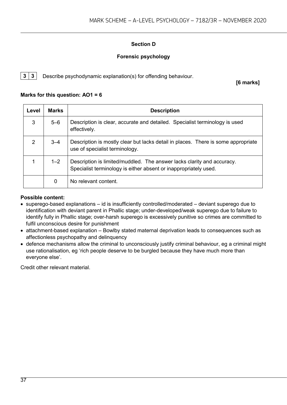#### **Section D**

#### **Forensic psychology**

**3 3** Describe psychodynamic explanation(s) for offending behaviour.

**[6 marks]**

#### **Marks for this question: AO1 = 6**

| Level          | <b>Marks</b> | <b>Description</b>                                                                                                                         |
|----------------|--------------|--------------------------------------------------------------------------------------------------------------------------------------------|
| 3              | $5 - 6$      | Description is clear, accurate and detailed. Specialist terminology is used<br>effectively.                                                |
| $\overline{2}$ | $3 - 4$      | Description is mostly clear but lacks detail in places. There is some appropriate<br>use of specialist terminology.                        |
|                | $1 - 2$      | Description is limited/muddled. The answer lacks clarity and accuracy.<br>Specialist terminology is either absent or inappropriately used. |
|                | 0            | No relevant content.                                                                                                                       |

#### **Possible content:**

- superego-based explanations id is insufficiently controlled/moderated deviant superego due to identification with deviant parent in Phallic stage; under-developed/weak superego due to failure to identify fully in Phallic stage; over-harsh superego is excessively punitive so crimes are committed to fulfil unconscious desire for punishment
- attachment-based explanation Bowlby stated maternal deprivation leads to consequences such as affectionless psychopathy and delinquency
- defence mechanisms allow the criminal to unconsciously justify criminal behaviour, eg a criminal might use rationalisation, eg 'rich people deserve to be burgled because they have much more than everyone else'.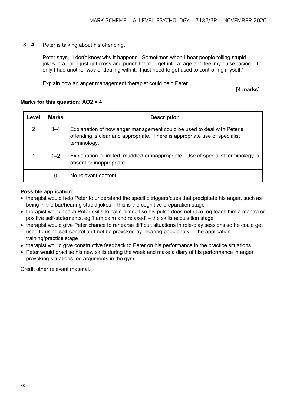#### **3** | **4** | Peter is talking about his offending.

Peter says, "I don't know why it happens. Sometimes when I hear people telling stupid jokes in a bar, I just get cross and punch them. I get into a rage and feel my pulse racing. If only I had another way of dealing with it. I just need to get used to controlling myself."

Explain how an anger management therapist could help Peter.

#### **[4 marks]**

#### **Marks for this question: AO2 = 4**

| Level          | <b>Marks</b> | <b>Description</b>                                                                                                                                                   |
|----------------|--------------|----------------------------------------------------------------------------------------------------------------------------------------------------------------------|
| $\overline{2}$ | $3 - 4$      | Explanation of how anger management could be used to deal with Peter's<br>offending is clear and appropriate. There is appropriate use of specialist<br>terminology. |
|                | $1 - 2$      | Explanation is limited, muddled or inappropriate. Use of specialist terminology is<br>absent or inappropriate.                                                       |
|                | 0            | No relevant content.                                                                                                                                                 |

#### **Possible application:**

- therapist would help Peter to understand the specific triggers/cues that precipitate his anger, such as being in the bar/hearing stupid jokes – this is the cognitive preparation stage
- therapist would teach Peter skills to calm himself so his pulse does not race, eg teach him a mantra or positive self-statements, eg 'I am calm and relaxed' – the skills acquisition stage
- therapist would give Peter chance to rehearse difficult situations in role-play sessions so he could get used to using self-control and not be provoked by 'hearing people talk' – the application training/practice stage
- therapist would give constructive feedback to Peter on his performance in the practice situations
- Peter would practise his new skills during the week and make a diary of his performance in anger provoking situations, eg arguments in the gym.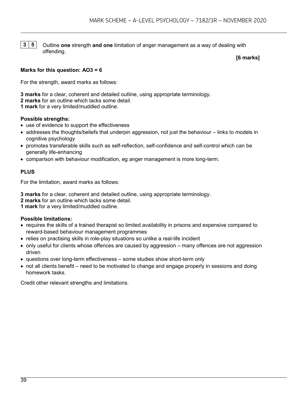**3 5** Outline **one** strength **and one** limitation of anger management as a way of dealing with offending.

**[6 marks]**

#### **Marks for this question: AO3 = 6**

For the strength, award marks as follows:

**3 marks** for a clear, coherent and detailed outline, using appropriate terminology. **2 marks** for an outline which lacks some detail. **1 mark** for a very limited/muddled outline.

#### **Possible strengths:**

- use of evidence to support the effectiveness
- addresses the thoughts/beliefs that underpin aggression, not just the behaviour links to models in cognitive psychology
- promotes transferable skills such as self-reflection, self-confidence and self-control which can be generally life-enhancing
- comparison with behaviour modification, eg anger management is more long-term.

#### **PLUS**

For the limitation, award marks as follows:

**3 marks** for a clear, coherent and detailed outline, using appropriate terminology.

**2 marks** for an outline which lacks some detail.

**1 mark** for a very limited/muddled outline.

#### **Possible limitations:**

- requires the skills of a trained therapist so limited availability in prisons and expensive compared to reward-based behaviour management programmes
- relies on practising skills in role-play situations so unlike a real-life incident
- only useful for clients whose offences are caused by aggression many offences are not aggression driven
- questions over long-term effectiveness some studies show short-term only
- not all clients benefit need to be motivated to change and engage properly in sessions and doing homework tasks.

Credit other relevant strengths and limitations.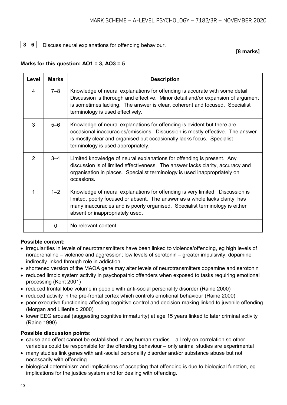**3 6** Discuss neural explanations for offending behaviour.

**[8 marks]**

#### **Marks for this question: AO1 = 3, AO3 = 5**

| Level          | <b>Marks</b> | <b>Description</b>                                                                                                                                                                                                                                                                 |
|----------------|--------------|------------------------------------------------------------------------------------------------------------------------------------------------------------------------------------------------------------------------------------------------------------------------------------|
| 4              | $7 - 8$      | Knowledge of neural explanations for offending is accurate with some detail.<br>Discussion is thorough and effective. Minor detail and/or expansion of argument<br>is sometimes lacking. The answer is clear, coherent and focused. Specialist<br>terminology is used effectively. |
| 3              | $5 - 6$      | Knowledge of neural explanations for offending is evident but there are<br>occasional inaccuracies/omissions. Discussion is mostly effective. The answer<br>is mostly clear and organised but occasionally lacks focus. Specialist<br>terminology is used appropriately.           |
| $\overline{2}$ | $3 - 4$      | Limited knowledge of neural explanations for offending is present. Any<br>discussion is of limited effectiveness. The answer lacks clarity, accuracy and<br>organisation in places. Specialist terminology is used inappropriately on<br>occasions.                                |
| 1              | $1 - 2$      | Knowledge of neural explanations for offending is very limited. Discussion is<br>limited, poorly focused or absent. The answer as a whole lacks clarity, has<br>many inaccuracies and is poorly organised. Specialist terminology is either<br>absent or inappropriately used.     |
|                | 0            | No relevant content.                                                                                                                                                                                                                                                               |

#### **Possible content:**

- irregularities in levels of neurotransmitters have been linked to violence/offending, eg high levels of noradrenaline – violence and aggression; low levels of serotonin – greater impulsivity; dopamine indirectly linked through role in addiction
- shortened version of the MAOA gene may alter levels of neurotransmitters dopamine and serotonin
- reduced limbic system activity in psychopathic offenders when exposed to tasks requiring emotional processing (Kent 2001)
- reduced frontal lobe volume in people with anti-social personality disorder (Raine 2000)
- reduced activity in the pre-frontal cortex which controls emotional behaviour (Raine 2000)
- poor executive functioning affecting cognitive control and decision-making linked to juvenile offending (Morgan and Lilienfeld 2000)
- lower EEG arousal (suggesting cognitive immaturity) at age 15 years linked to later criminal activity (Raine 1990).

#### **Possible discussion points:**

- cause and effect cannot be established in any human studies all rely on correlation so other variables could be responsible for the offending behaviour – only animal studies are experimental
- many studies link genes with anti-social personality disorder and/or substance abuse but not necessarily with offending
- biological determinism and implications of accepting that offending is due to biological function, eg implications for the justice system and for dealing with offending.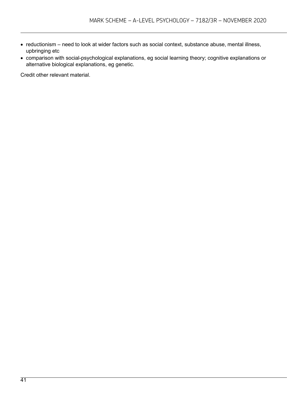- reductionism need to look at wider factors such as social context, substance abuse, mental illness, upbringing etc
- comparison with social-psychological explanations, eg social learning theory; cognitive explanations or alternative biological explanations, eg genetic.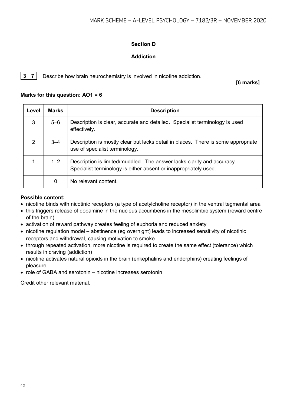#### **Section D**

#### **Addiction**

**3 7** Describe how brain neurochemistry is involved in nicotine addiction.

**[6 marks]**

#### **Marks for this question: AO1 = 6**

| Level          | <b>Marks</b> | <b>Description</b>                                                                                                                         |
|----------------|--------------|--------------------------------------------------------------------------------------------------------------------------------------------|
| 3              | $5 - 6$      | Description is clear, accurate and detailed. Specialist terminology is used<br>effectively.                                                |
| $\overline{2}$ | $3 - 4$      | Description is mostly clear but lacks detail in places. There is some appropriate<br>use of specialist terminology.                        |
|                | $1 - 2$      | Description is limited/muddled. The answer lacks clarity and accuracy.<br>Specialist terminology is either absent or inappropriately used. |
|                | 0            | No relevant content.                                                                                                                       |

#### **Possible content:**

- nicotine binds with nicotinic receptors (a type of acetylcholine receptor) in the ventral tegmental area
- this triggers release of dopamine in the nucleus accumbens in the mesolimbic system (reward centre of the brain)
- activation of reward pathway creates feeling of euphoria and reduced anxiety
- nicotine regulation model abstinence (eg overnight) leads to increased sensitivity of nicotinic receptors and withdrawal, causing motivation to smoke
- through repeated activation, more nicotine is required to create the same effect (tolerance) which results in craving (addiction)
- nicotine activates natural opioids in the brain (enkephalins and endorphins) creating feelings of pleasure
- role of GABA and serotonin nicotine increases serotonin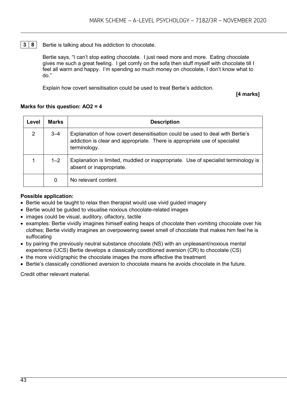#### **3 8** Bertie is talking about his addiction to chocolate.

Bertie says, "I can't stop eating chocolate. I just need more and more. Eating chocolate gives me such a great feeling. I get comfy on the sofa then stuff myself with chocolate till I feel all warm and happy. I'm spending so much money on chocolate, I don't know what to do."

Explain how covert sensitisation could be used to treat Bertie's addiction.

**[4 marks]**

#### **Marks for this question: AO2 = 4**

| Level          | <b>Marks</b> | <b>Description</b>                                                                                                                                                          |
|----------------|--------------|-----------------------------------------------------------------------------------------------------------------------------------------------------------------------------|
| $\overline{2}$ | $3 - 4$      | Explanation of how covert desensitisation could be used to deal with Bertie's<br>addiction is clear and appropriate. There is appropriate use of specialist<br>terminology. |
|                | $1 - 2$      | Explanation is limited, muddled or inappropriate. Use of specialist terminology is<br>absent or inappropriate.                                                              |
|                | 0            | No relevant content.                                                                                                                                                        |

#### **Possible application:**

- Bertie would be taught to relax then therapist would use vivid guided imagery
- Bertie would be guided to visualise noxious chocolate-related images
- images could be visual, auditory, olfactory, tactile
- examples: Bertie vividly imagines himself eating heaps of chocolate then vomiting chocolate over his clothes; Bertie vividly imagines an overpowering sweet smell of chocolate that makes him feel he is suffocating
- by pairing the previously neutral substance chocolate (NS) with an unpleasant/noxious mental experience (UCS) Bertie develops a classically conditioned aversion (CR) to chocolate (CS)
- the more vivid/graphic the chocolate images the more effective the treatment
- Bertie's classically conditioned aversion to chocolate means he avoids chocolate in the future.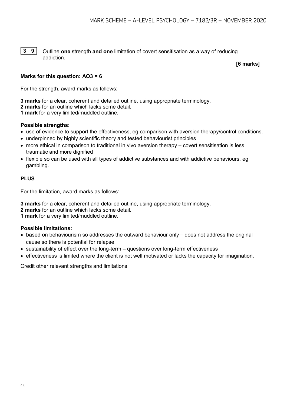**3** | **9** | Outline **one** strength **and one** limitation of covert sensitisation as a way of reducing addiction.

**[6 marks]**

#### **Marks for this question: AO3 = 6**

For the strength, award marks as follows:

**3 marks** for a clear, coherent and detailed outline, using appropriate terminology.

**2 marks** for an outline which lacks some detail.

**1 mark** for a very limited/muddled outline.

#### **Possible strengths:**

- use of evidence to support the effectiveness, eg comparison with aversion therapy/control conditions.
- underpinned by highly scientific theory and tested behaviourist principles
- more ethical in comparison to traditional in vivo aversion therapy covert sensitisation is less traumatic and more dignified
- flexible so can be used with all types of addictive substances and with addictive behaviours, eg gambling.

#### **PLUS**

For the limitation, award marks as follows:

**3 marks** for a clear, coherent and detailed outline, using appropriate terminology.

- **2 marks** for an outline which lacks some detail.
- **1 mark** for a very limited/muddled outline.

#### **Possible limitations:**

- based on behaviourism so addresses the outward behaviour only does not address the original cause so there is potential for relapse
- sustainability of effect over the long-term questions over long-term effectiveness
- effectiveness is limited where the client is not well motivated or lacks the capacity for imagination.

Credit other relevant strengths and limitations.